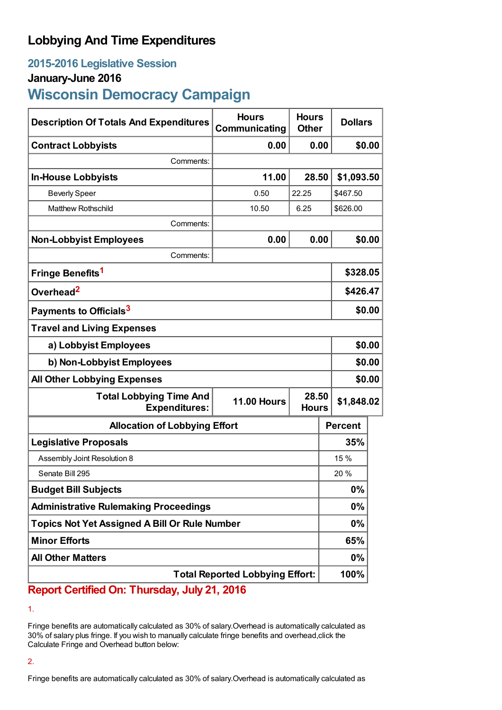## **Lobbying And Time Expenditures**

## **2015-2016 Legislative Session**

### **January-June 2016**

# **Wisconsin Democracy Campaign**

| <b>Description Of Totals And Expenditures</b>          | <b>Hours</b><br>Communicating | <b>Hours</b><br><b>Other</b> | <b>Dollars</b> |        |
|--------------------------------------------------------|-------------------------------|------------------------------|----------------|--------|
| <b>Contract Lobbyists</b>                              | 0.00                          | 0.00                         |                | \$0.00 |
| Comments:                                              |                               |                              |                |        |
| <b>In-House Lobbyists</b>                              | 11.00                         | 28.50                        | \$1,093.50     |        |
| <b>Beverly Speer</b>                                   | 0.50                          | 22.25                        | \$467.50       |        |
| <b>Matthew Rothschild</b>                              | 10.50                         | 6.25                         | \$626.00       |        |
| Comments:                                              |                               |                              |                |        |
| <b>Non-Lobbyist Employees</b>                          | 0.00                          | 0.00                         |                | \$0.00 |
| Comments:                                              |                               |                              |                |        |
| Fringe Benefits <sup>1</sup>                           |                               |                              | \$328.05       |        |
| Overhead <sup>2</sup>                                  |                               |                              | \$426.47       |        |
| Payments to Officials <sup>3</sup>                     |                               |                              |                | \$0.00 |
| <b>Travel and Living Expenses</b>                      |                               |                              |                |        |
| a) Lobbyist Employees                                  |                               |                              | \$0.00         |        |
| b) Non-Lobbyist Employees                              |                               |                              |                | \$0.00 |
| <b>All Other Lobbying Expenses</b>                     |                               |                              |                | \$0.00 |
| <b>Total Lobbying Time And</b><br><b>Expenditures:</b> | <b>11.00 Hours</b>            | 28.50<br><b>Hours</b>        | \$1,848.02     |        |
| <b>Allocation of Lobbying Effort</b>                   |                               |                              | <b>Percent</b> |        |
| <b>Legislative Proposals</b>                           |                               |                              | 35%            |        |
| Assembly Joint Resolution 8                            |                               |                              | 15 %           |        |
| Senate Bill 295                                        |                               |                              | 20 %           |        |
| <b>Budget Bill Subjects</b>                            |                               |                              | 0%             |        |
| <b>Administrative Rulemaking Proceedings</b>           |                               |                              | 0%             |        |
| Topics Not Yet Assigned A Bill Or Rule Number          |                               |                              | $0\%$          |        |
| <b>Minor Efforts</b>                                   |                               |                              | 65%            |        |
| <b>All Other Matters</b>                               |                               |                              | 0%             |        |
| <b>Total Reported Lobbying Effort:</b>                 |                               |                              | 100%           |        |

### **Report Certified On: Thursday, July 21, 2016**

1.

Fringe benefits are automatically calculated as 30% of salary.Overhead is automatically calculated as 30% of salary plus fringe. If you wish to manually calculate fringe benefits and overhead,click the Calculate Fringe and Overhead button below:

### 2.

Fringe benefits are automatically calculated as 30% of salary.Overhead is automatically calculated as